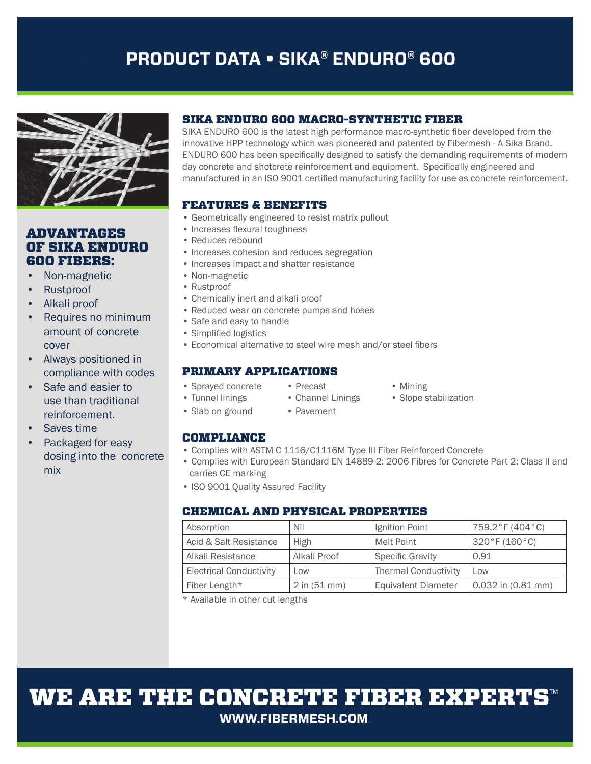# **PRODUCT DATA • SIKA® ENDURO® 600**



## ADVANTAGES OF SIKA ENDURO 600 FIBERS:

- Non-magnetic
- Rustproof
- Alkali proof
- Requires no minimum amount of concrete cover
- Always positioned in compliance with codes
- Safe and easier to use than traditional reinforcement.
- Saves time
- Packaged for easy dosing into the concrete mix

## SIKA ENDURO 600 MACRO-SYNTHETIC FIBER

SIKA ENDURO 600 is the latest high performance macro-synthetic fiber developed from the innovative HPP technology which was pioneered and patented by Fibermesh - A Sika Brand. ENDURO 600 has been specifically designed to satisfy the demanding requirements of modern day concrete and shotcrete reinforcement and equipment. Specifically engineered and manufactured in an ISO 9001 certified manufacturing facility for use as concrete reinforcement.

## FEATURES & BENEFITS

- Geometrically engineered to resist matrix pullout
- Increases flexural toughness
- Reduces rebound
- Increases cohesion and reduces segregation
- Increases impact and shatter resistance
- Non-magnetic
- Rustproof
- Chemically inert and alkali proof
- Reduced wear on concrete pumps and hoses
- Safe and easy to handle
- Simplified logistics
- Economical alternative to steel wire mesh and/or steel fibers

## PRIMARY APPLICATIONS

- Sprayed concrete Precast Mining
	-
- 
- Tunnel linings Channel Linings Slope stabilization
- 
- 
- 
- 
- 
- 
- 
- 
- Slab on ground Pavement
	-

## COMPLIANCE

- Complies with ASTM C 1116/C1116M Type III Fiber Reinforced Concrete
- Complies with European Standard EN 14889-2: 2006 Fibres for Concrete Part 2: Class II and carries CE marking
- ISO 9001 Quality Assured Facility

## CHEMICAL AND PHYSICAL PROPERTIES

| Absorption                     | Nil            | Ignition Point              | 759.2°F (404°C)    |
|--------------------------------|----------------|-----------------------------|--------------------|
| Acid & Salt Resistance         | <b>High</b>    | Melt Point                  | 320 °F (160 °C)    |
| Alkali Resistance              | Alkali Proof   | <b>Specific Gravity</b>     | 0.91               |
| <b>Electrical Conductivity</b> | Low            | <b>Thermal Conductivity</b> | Low                |
| Fiber Length*                  | $2$ in (51 mm) | <b>Equivalent Diameter</b>  | 0.032 in (0.81 mm) |

\* Available in other cut lengths

WE ARE THE CONCRETE FIBER EXPERTS **WWW.FIBERMESH.COM**